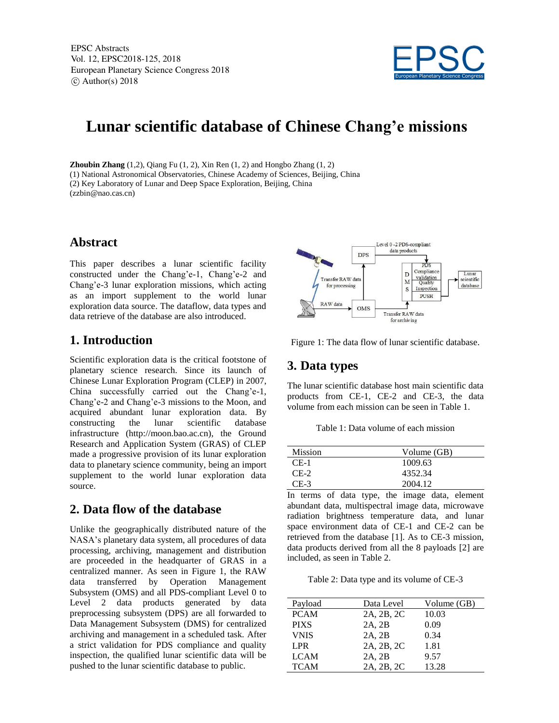

# **Lunar scientific database of Chinese Chang'e missions**

**Zhoubin Zhang** (1,2), Qiang Fu (1, 2), Xin Ren (1, 2) and Hongbo Zhang (1, 2) (1) National Astronomical Observatories, Chinese Academy of Sciences, Beijing, China (2) Key Laboratory of Lunar and Deep Space Exploration, Beijing, China (zzbin@nao.cas.cn)

#### **Abstract**

This paper describes a lunar scientific facility constructed under the Chang'e-1, Chang'e-2 and Chang'e-3 lunar exploration missions, which acting as an import supplement to the world lunar exploration data source. The dataflow, data types and data retrieve of the database are also introduced.

#### **1. Introduction**

Scientific exploration data is the critical footstone of planetary science research. Since its launch of Chinese Lunar Exploration Program (CLEP) in 2007, China successfully carried out the Chang'e-1, Chang'e-2 and Chang'e-3 missions to the Moon, and acquired abundant lunar exploration data. By constructing the lunar scientific database infrastructure (http://moon.bao.ac.cn), the Ground Research and Application System (GRAS) of CLEP made a progressive provision of its lunar exploration data to planetary science community, being an import supplement to the world lunar exploration data source.

#### **2. Data flow of the database**

Unlike the geographically distributed nature of the NASA's planetary data system, all procedures of data processing, archiving, management and distribution are proceeded in the headquarter of GRAS in a centralized manner. As seen in Figure 1, the RAW data transferred by Operation Management Subsystem (OMS) and all PDS-compliant Level 0 to Level 2 data products generated by data preprocessing subsystem (DPS) are all forwarded to Data Management Subsystem (DMS) for centralized archiving and management in a scheduled task. After a strict validation for PDS compliance and quality inspection, the qualified lunar scientific data will be pushed to the lunar scientific database to public.



Figure 1: The data flow of lunar scientific database.

## **3. Data types**

The lunar scientific database host main scientific data products from CE-1, CE-2 and CE-3, the data volume from each mission can be seen in Table 1.

Table 1: Data volume of each mission

| <b>Mission</b> | Volume (GB) |
|----------------|-------------|
| $CE-1$         | 1009.63     |
| $CE-2$         | 4352.34     |
| $CE-3$         | 2004.12     |

In terms of data type, the image data, element abundant data, multispectral image data, microwave radiation brightness temperature data, and lunar space environment data of CE-1 and CE-2 can be retrieved from the database [1]. As to CE-3 mission, data products derived from all the 8 payloads [2] are included, as seen in Table 2.

Table 2: Data type and its volume of CE-3

| Payload          | Data Level | Volume (GB) |
|------------------|------------|-------------|
| <b>PCAM</b>      | 2A, 2B, 2C | 10.03       |
| <b>PIXS</b>      | 2A, 2B     | 0.09        |
| <b>VNIS</b>      | 2A, 2B     | 0.34        |
| LPR <sup>1</sup> | 2A, 2B, 2C | 1.81        |
| <b>LCAM</b>      | 2A, 2B     | 9.57        |
| <b>TCAM</b>      | 2A, 2B, 2C | 13.28       |